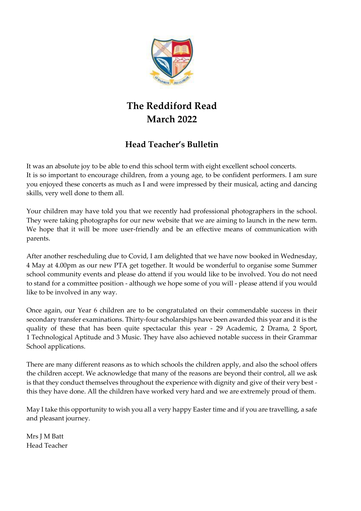

# **The Reddiford Read March 2022**

# **Head Teacher's Bulletin**

It was an absolute joy to be able to end this school term with eight excellent school concerts. It is so important to encourage children, from a young age, to be confident performers. I am sure you enjoyed these concerts as much as I and were impressed by their musical, acting and dancing skills, very well done to them all.

Your children may have told you that we recently had professional photographers in the school. They were taking photographs for our new website that we are aiming to launch in the new term. We hope that it will be more user-friendly and be an effective means of communication with parents.

After another rescheduling due to Covid, I am delighted that we have now booked in Wednesday, 4 May at 4.00pm as our new PTA get together. It would be wonderful to organise some Summer school community events and please do attend if you would like to be involved. You do not need to stand for a committee position - although we hope some of you will - please attend if you would like to be involved in any way.

Once again, our Year 6 children are to be congratulated on their commendable success in their secondary transfer examinations. Thirty-four scholarships have been awarded this year and it is the quality of these that has been quite spectacular this year - 29 Academic, 2 Drama, 2 Sport, 1 Technological Aptitude and 3 Music. They have also achieved notable success in their Grammar School applications.

There are many different reasons as to which schools the children apply, and also the school offers the children accept. We acknowledge that many of the reasons are beyond their control, all we ask is that they conduct themselves throughout the experience with dignity and give of their very best this they have done. All the children have worked very hard and we are extremely proud of them.

May I take this opportunity to wish you all a very happy Easter time and if you are travelling, a safe and pleasant journey.

Mrs J M Batt Head Teacher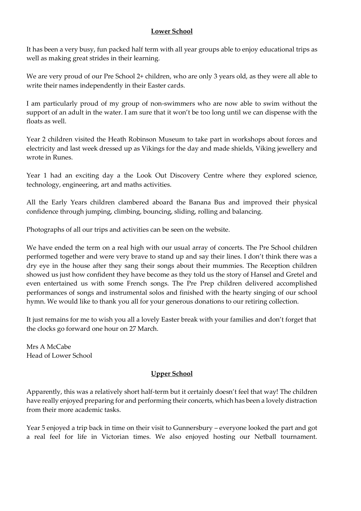#### **Lower School**

It has been a very busy, fun packed half term with all year groups able to enjoy educational trips as well as making great strides in their learning.

We are very proud of our Pre School 2+ children, who are only 3 years old, as they were all able to write their names independently in their Easter cards.

I am particularly proud of my group of non-swimmers who are now able to swim without the support of an adult in the water. I am sure that it won't be too long until we can dispense with the floats as well.

Year 2 children visited the Heath Robinson Museum to take part in workshops about forces and electricity and last week dressed up as Vikings for the day and made shields, Viking jewellery and wrote in Runes.

Year 1 had an exciting day a the Look Out Discovery Centre where they explored science, technology, engineering, art and maths activities.

All the Early Years children clambered aboard the Banana Bus and improved their physical confidence through jumping, climbing, bouncing, sliding, rolling and balancing.

Photographs of all our trips and activities can be seen on the website.

We have ended the term on a real high with our usual array of concerts. The Pre School children performed together and were very brave to stand up and say their lines. I don't think there was a dry eye in the house after they sang their songs about their mummies. The Reception children showed us just how confident they have become as they told us the story of Hansel and Gretel and even entertained us with some French songs. The Pre Prep children delivered accomplished performances of songs and instrumental solos and finished with the hearty singing of our school hymn. We would like to thank you all for your generous donations to our retiring collection.

It just remains for me to wish you all a lovely Easter break with your families and don't forget that the clocks go forward one hour on 27 March.

Mrs A McCabe Head of Lower School

## **Upper School**

Apparently, this was a relatively short half-term but it certainly doesn't feel that way! The children have really enjoyed preparing for and performing their concerts, which has been a lovely distraction from their more academic tasks.

Year 5 enjoyed a trip back in time on their visit to Gunnersbury – everyone looked the part and got a real feel for life in Victorian times. We also enjoyed hosting our Netball tournament.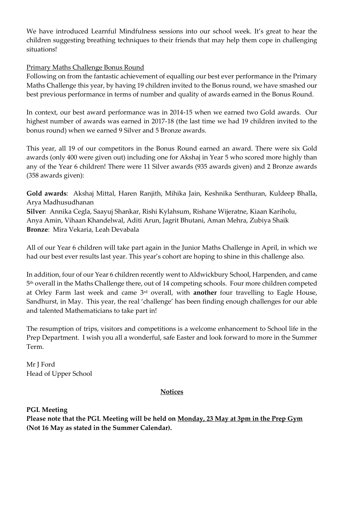We have introduced Learnful Mindfulness sessions into our school week. It's great to hear the children suggesting breathing techniques to their friends that may help them cope in challenging situations!

## Primary Maths Challenge Bonus Round

Following on from the fantastic achievement of equalling our best ever performance in the Primary Maths Challenge this year, by having 19 children invited to the Bonus round, we have smashed our best previous performance in terms of number and quality of awards earned in the Bonus Round.

In context, our best award performance was in 2014-15 when we earned two Gold awards. Our highest number of awards was earned in 2017-18 (the last time we had 19 children invited to the bonus round) when we earned 9 Silver and 5 Bronze awards.

This year, all 19 of our competitors in the Bonus Round earned an award. There were six Gold awards (only 400 were given out) including one for Akshaj in Year 5 who scored more highly than any of the Year 6 children! There were 11 Silver awards (935 awards given) and 2 Bronze awards (358 awards given):

**Gold awards**: Akshaj Mittal, Haren Ranjith, Mihika Jain, Keshnika Senthuran, Kuldeep Bhalla, Arya Madhusudhanan

**Silver**: Annika Cegla, Saayuj Shankar, Rishi Kylahsum, Rishane Wijeratne, Kiaan Kariholu, Anya Amin, Vihaan Khandelwal, Aditi Arun, Jagrit Bhutani, Aman Mehra, Zubiya Shaik **Bronze**: Mira Vekaria, Leah Devabala

All of our Year 6 children will take part again in the Junior Maths Challenge in April, in which we had our best ever results last year. This year's cohort are hoping to shine in this challenge also.

In addition, four of our Year 6 children recently went to Aldwickbury School, Harpenden, and came 5 th overall in the Maths Challenge there, out of 14 competing schools. Four more children competed at Orley Farm last week and came 3rd overall, with **another** four travelling to Eagle House, Sandhurst, in May. This year, the real 'challenge' has been finding enough challenges for our able and talented Mathematicians to take part in!

The resumption of trips, visitors and competitions is a welcome enhancement to School life in the Prep Department. I wish you all a wonderful, safe Easter and look forward to more in the Summer Term.

Mr J Ford Head of Upper School

#### **Notices**

**PGL Meeting**

**Please note that the PGL Meeting will be held on Monday, 23 May at 3pm in the Prep Gym (Not 16 May as stated in the Summer Calendar).**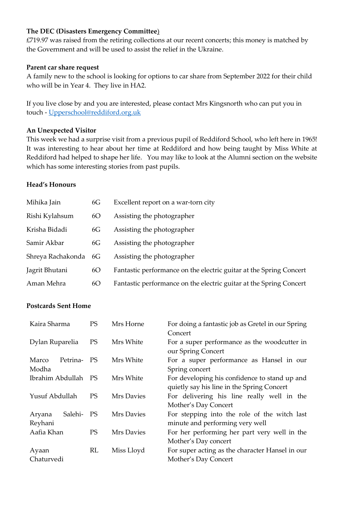#### **The DEC (Disasters Emergency Committee**)

£719.97 was raised from the retiring collections at our recent concerts; this money is matched by the Government and will be used to assist the relief in the Ukraine.

#### **Parent car share request**

A family new to the school is looking for options to car share from September 2022 for their child who will be in Year 4. They live in HA2.

If you live close by and you are interested, please contact Mrs Kingsnorth who can put you in touch - [Upperschool@reddiford.org.uk](mailto:Upperschool@reddiford.org.uk)

#### **An Unexpected Visitor**

This week we had a surprise visit from a previous pupil of Reddiford School, who left here in 1965! It was interesting to hear about her time at Reddiford and how being taught by Miss White at Reddiford had helped to shape her life. You may like to look at the Alumni section on the website which has some interesting stories from past pupils.

#### **Head's Honours**

| Mihika Jain          | 6G | Excellent report on a war-torn city                                |
|----------------------|----|--------------------------------------------------------------------|
| Rishi Kylahsum       | 6O | Assisting the photographer                                         |
| Krisha Bidadi        | 6G | Assisting the photographer                                         |
| Samir Akbar          | 6G | Assisting the photographer                                         |
| Shreya Rachakonda 6G |    | Assisting the photographer                                         |
| Jagrit Bhutani       | 6O | Fantastic performance on the electric guitar at the Spring Concert |
| Aman Mehra           | 6O | Fantastic performance on the electric guitar at the Spring Concert |

## **Postcards Sent Home**

| Kaira Sharma                 | <b>PS</b> | Mrs Horne  | For doing a fantastic job as Gretel in our Spring<br>Concert                                |
|------------------------------|-----------|------------|---------------------------------------------------------------------------------------------|
| Dylan Ruparelia              | <b>PS</b> | Mrs White  | For a super performance as the woodcutter in<br>our Spring Concert                          |
| Marco<br>Petrina-<br>Modha   | PS.       | Mrs White  | For a super performance as Hansel in our<br>Spring concert                                  |
| Ibrahim Abdullah             | PS        | Mrs White  | For developing his confidence to stand up and<br>quietly say his line in the Spring Concert |
| Yusuf Abdullah               | <b>PS</b> | Mrs Davies | For delivering his line really well in the<br>Mother's Day Concert                          |
| Salehi-<br>Aryana<br>Reyhani | PS        | Mrs Davies | For stepping into the role of the witch last<br>minute and performing very well             |
| Aafia Khan                   | PS.       | Mrs Davies | For her performing her part very well in the<br>Mother's Day concert                        |
| Ayaan                        | RL        | Miss Lloyd | For super acting as the character Hansel in our                                             |
| Chaturvedi                   |           |            | Mother's Day Concert                                                                        |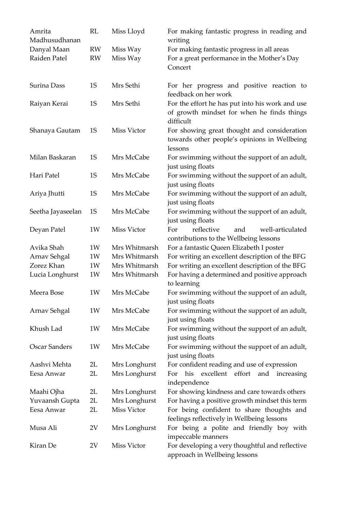| Amrita<br>Madhusudhanan | RL        | Miss Lloyd         | For making fantastic progress in reading and<br>writing                                                    |
|-------------------------|-----------|--------------------|------------------------------------------------------------------------------------------------------------|
| Danyal Maan             | RW        | Miss Way           | For making fantastic progress in all areas                                                                 |
| Raiden Patel            | <b>RW</b> | Miss Way           | For a great performance in the Mother's Day<br>Concert                                                     |
| Surina Dass             | 1S        | Mrs Sethi          | For her progress and positive reaction to<br>feedback on her work                                          |
| Raiyan Kerai            | <b>1S</b> | Mrs Sethi          | For the effort he has put into his work and use<br>of growth mindset for when he finds things<br>difficult |
| Shanaya Gautam          | 1S        | Miss Victor        | For showing great thought and consideration<br>towards other people's opinions in Wellbeing<br>lessons     |
| Milan Baskaran          | <b>1S</b> | Mrs McCabe         | For swimming without the support of an adult,<br>just using floats                                         |
| Hari Patel              | <b>1S</b> | Mrs McCabe         | For swimming without the support of an adult,<br>just using floats                                         |
| Ariya Jhutti            | <b>1S</b> | Mrs McCabe         | For swimming without the support of an adult,<br>just using floats                                         |
| Seetha Jayaseelan       | 1S        | Mrs McCabe         | For swimming without the support of an adult,<br>just using floats                                         |
| Deyan Patel             | 1W        | <b>Miss Victor</b> | reflective<br>well-articulated<br>For<br>and<br>contributions to the Wellbeing lessons                     |
| Avika Shah              | 1W        | Mrs Whitmarsh      | For a fantastic Queen Elizabeth I poster                                                                   |
| Arnav Sehgal            | 1W        | Mrs Whitmarsh      | For writing an excellent description of the BFG                                                            |
| Zorez Khan              | 1W        | Mrs Whitmarsh      | For writing an excellent description of the BFG                                                            |
| Lucia Longhurst         | 1W        | Mrs Whitmarsh      | For having a determined and positive approach<br>to learning                                               |
| Meera Bose              | 1W        | Mrs McCabe         | For swimming without the support of an adult,<br>just using floats                                         |
| Arnav Sehgal            | 1W        | Mrs McCabe         | For swimming without the support of an adult,<br>just using floats                                         |
| Khush Lad               | 1W        | Mrs McCabe         | For swimming without the support of an adult,<br>just using floats                                         |
| <b>Oscar Sanders</b>    | 1W        | Mrs McCabe         | For swimming without the support of an adult,<br>just using floats                                         |
| Aashvi Mehta            | 2L        | Mrs Longhurst      | For confident reading and use of expression                                                                |
| Eesa Anwar              | 2L        | Mrs Longhurst      | excellent<br>effort<br>his<br>and<br>For<br>increasing<br>independence                                     |
| Maahi Ojha              | 2L        | Mrs Longhurst      | For showing kindness and care towards others                                                               |
| Yuvaansh Gupta          | 2L        | Mrs Longhurst      | For having a positive growth mindset this term                                                             |
| Eesa Anwar              | 2L        | Miss Victor        | For being confident to share thoughts and<br>feelings reflectively in Wellbeing lessons                    |
| Musa Ali                | 2V        | Mrs Longhurst      | For being a polite and friendly boy with<br>impeccable manners                                             |
| Kiran De                | 2V        | Miss Victor        | For developing a very thoughtful and reflective<br>approach in Wellbeing lessons                           |